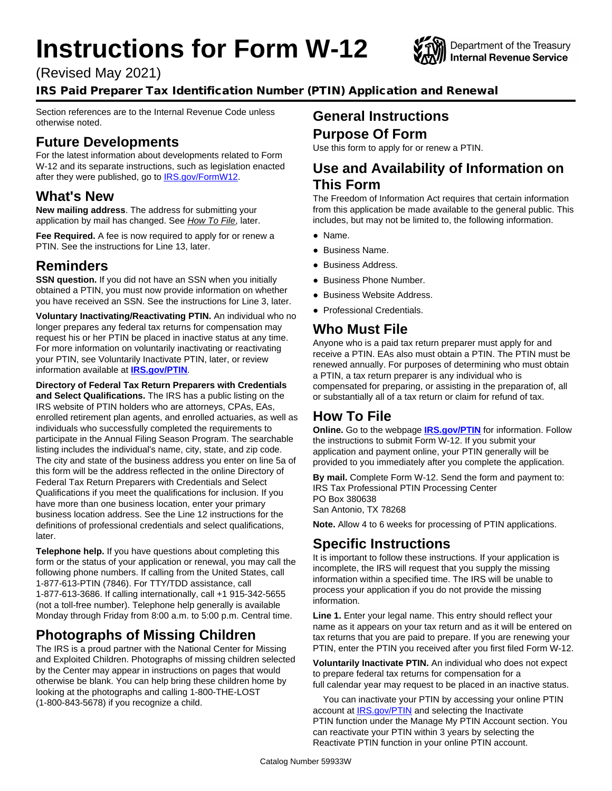# **Instructions for Form W-12**

(Revised May 2021)



## IRS Paid Preparer Tax Identification Number (PTIN) Application and Renewal

Section references are to the Internal Revenue Code unless otherwise noted.

## **Future Developments**

For the latest information about developments related to Form W-12 and its separate instructions, such as legislation enacted after they were published, go to **IRS.gov/FormW12.** 

#### **What's New**

**New mailing address**. The address for submitting your application by mail has changed. See *How To File*, later.

**Fee Required.** A fee is now required to apply for or renew a PTIN. See the instructions for Line 13, later.

#### **Reminders**

**SSN question.** If you did not have an SSN when you initially obtained a PTIN, you must now provide information on whether you have received an SSN. See the instructions for Line 3, later.

**Voluntary Inactivating/Reactivating PTIN.** An individual who no longer prepares any federal tax returns for compensation may request his or her PTIN be placed in inactive status at any time. For more information on voluntarily inactivating or reactivating your PTIN, see Voluntarily Inactivate PTIN, later, or review information available at **[IRS.gov/PTIN](https://www.irs.gov/tax-professionals/ptin-requirements-for-tax-return-preparers)**.

**Directory of Federal Tax Return Preparers with Credentials and Select Qualifications.** The IRS has a public listing on the IRS website of PTIN holders who are attorneys, CPAs, EAs, enrolled retirement plan agents, and enrolled actuaries, as well as individuals who successfully completed the requirements to participate in the Annual Filing Season Program. The searchable listing includes the individual's name, city, state, and zip code. The city and state of the business address you enter on line 5a of this form will be the address reflected in the online Directory of Federal Tax Return Preparers with Credentials and Select Qualifications if you meet the qualifications for inclusion. If you have more than one business location, enter your primary business location address. See the Line 12 instructions for the definitions of professional credentials and select qualifications, later.

**Telephone help.** If you have questions about completing this form or the status of your application or renewal, you may call the following phone numbers. If calling from the United States, call 1-877-613-PTIN (7846). For TTY/TDD assistance, call 1-877-613-3686. If calling internationally, call +1 915-342-5655 (not a toll-free number). Telephone help generally is available Monday through Friday from 8:00 a.m. to 5:00 p.m. Central time.

## **Photographs of Missing Children**

The IRS is a proud partner with the National Center for Missing and Exploited Children. Photographs of missing children selected by the Center may appear in instructions on pages that would otherwise be blank. You can help bring these children home by looking at the photographs and calling 1-800-THE-LOST (1-800-843-5678) if you recognize a child.

#### **General Instructions Purpose Of Form**

Use this form to apply for or renew a PTIN.

#### **Use and Availability of Information on This Form**

The Freedom of Information Act requires that certain information from this application be made available to the general public. This includes, but may not be limited to, the following information.

- Name.
- Business Name.
- Business Address.
- Business Phone Number.
- Business Website Address.
- Professional Credentials.

#### **Who Must File**

Anyone who is a paid tax return preparer must apply for and receive a PTIN. EAs also must obtain a PTIN. The PTIN must be renewed annually. For purposes of determining who must obtain a PTIN, a tax return preparer is any individual who is compensated for preparing, or assisting in the preparation of, all or substantially all of a tax return or claim for refund of tax.

## **How To File**

**Online.** Go to the webpage **[IRS.gov/PTIN](https://www.irs.gov/tax-professionals/ptin-requirements-for-tax-return-preparers)** for information. Follow the instructions to submit Form W-12. If you submit your application and payment online, your PTIN generally will be provided to you immediately after you complete the application.

**By mail.** Complete Form W-12. Send the form and payment to: IRS Tax Professional PTIN Processing Center PO Box 380638 San Antonio, TX 78268

**Note.** Allow 4 to 6 weeks for processing of PTIN applications.

## **Specific Instructions**

It is important to follow these instructions. If your application is incomplete, the IRS will request that you supply the missing information within a specified time. The IRS will be unable to process your application if you do not provide the missing information.

Line 1. Enter your legal name. This entry should reflect your name as it appears on your tax return and as it will be entered on tax returns that you are paid to prepare. If you are renewing your PTIN, enter the PTIN you received after you first filed Form W-12.

**Voluntarily Inactivate PTIN.** An individual who does not expect to prepare federal tax returns for compensation for a full calendar year may request to be placed in an inactive status.

You can inactivate your PTIN by accessing your online PTIN account at **IRS.gov/PTIN** and selecting the Inactivate PTIN function under the Manage My PTIN Account section. You can reactivate your PTIN within 3 years by selecting the Reactivate PTIN function in your online PTIN account.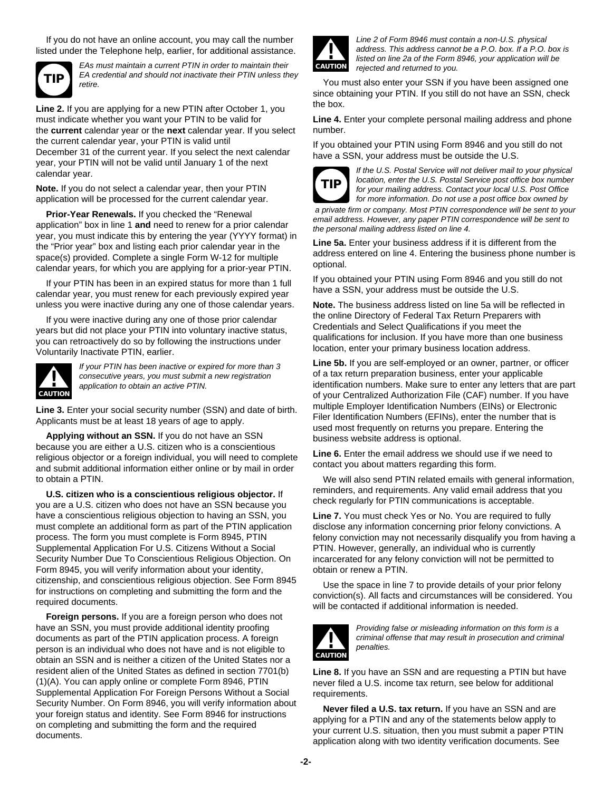If you do not have an online account, you may call the number listed under the Telephone help, earlier, for additional assistance.



*EAs must maintain a current PTIN in order to maintain their EA credential and should not inactivate their PTIN unless they retire.*

**Line 2.** If you are applying for a new PTIN after October 1, you must indicate whether you want your PTIN to be valid for the **current** calendar year or the **next** calendar year. If you select the current calendar year, your PTIN is valid until December 31 of the current year. If you select the next calendar year, your PTIN will not be valid until January 1 of the next calendar year.

**Note.** If you do not select a calendar year, then your PTIN application will be processed for the current calendar year.

**Prior-Year Renewals.** If you checked the "Renewal application" box in line 1 **and** need to renew for a prior calendar year, you must indicate this by entering the year (YYYY format) in the "Prior year" box and listing each prior calendar year in the space(s) provided. Complete a single Form W-12 for multiple calendar years, for which you are applying for a prior-year PTIN.

If your PTIN has been in an expired status for more than 1 full calendar year, you must renew for each previously expired year unless you were inactive during any one of those calendar years.

If you were inactive during any one of those prior calendar years but did not place your PTIN into voluntary inactive status, you can retroactively do so by following the instructions under Voluntarily Inactivate PTIN, earlier.



*If your PTIN has been inactive or expired for more than 3 consecutive years, you must submit a new registration application to obtain an active PTIN.*

**Line 3.** Enter your social security number (SSN) and date of birth. Applicants must be at least 18 years of age to apply.

**Applying without an SSN.** If you do not have an SSN because you are either a U.S. citizen who is a conscientious religious objector or a foreign individual, you will need to complete and submit additional information either online or by mail in order to obtain a PTIN.

**U.S. citizen who is a conscientious religious objector.** If you are a U.S. citizen who does not have an SSN because you have a conscientious religious objection to having an SSN, you must complete an additional form as part of the PTIN application process. The form you must complete is Form 8945, PTIN Supplemental Application For U.S. Citizens Without a Social Security Number Due To Conscientious Religious Objection. On Form 8945, you will verify information about your identity, citizenship, and conscientious religious objection. See Form 8945 for instructions on completing and submitting the form and the required documents.

**Foreign persons.** If you are a foreign person who does not have an SSN, you must provide additional identity proofing documents as part of the PTIN application process. A foreign person is an individual who does not have and is not eligible to obtain an SSN and is neither a citizen of the United States nor a resident alien of the United States as defined in section 7701(b) (1)(A). You can apply online or complete Form 8946, PTIN Supplemental Application For Foreign Persons Without a Social Security Number. On Form 8946, you will verify information about your foreign status and identity. See Form 8946 for instructions on completing and submitting the form and the required documents.



*Line 2 of Form 8946 must contain a non-U.S. physical address. This address cannot be a P.O. box. If a P.O. box is listed on line 2a of the Form 8946, your application will be rejected and returned to you.*

You must also enter your SSN if you have been assigned one since obtaining your PTIN. If you still do not have an SSN, check the box.

**Line 4.** Enter your complete personal mailing address and phone number.

If you obtained your PTIN using Form 8946 and you still do not have a SSN, your address must be outside the U.S.



*If the U.S. Postal Service will not deliver mail to your physical location, enter the U.S. Postal Service post office box number for your mailing address. Contact your local U.S. Post Office for more information. Do not use a post office box owned by*

 *a private firm or company. Most PTIN correspondence will be sent to your email address. However, any paper PTIN correspondence will be sent to the personal mailing address listed on line 4.*

**Line 5a.** Enter your business address if it is different from the address entered on line 4. Entering the business phone number is optional.

If you obtained your PTIN using Form 8946 and you still do not have a SSN, your address must be outside the U.S.

**Note.** The business address listed on line 5a will be reflected in the online Directory of Federal Tax Return Preparers with Credentials and Select Qualifications if you meet the qualifications for inclusion. If you have more than one business location, enter your primary business location address.

**Line 5b.** If you are self-employed or an owner, partner, or officer of a tax return preparation business, enter your applicable identification numbers. Make sure to enter any letters that are part of your Centralized Authorization File (CAF) number. If you have multiple Employer Identification Numbers (EINs) or Electronic Filer Identification Numbers (EFINs), enter the number that is used most frequently on returns you prepare. Entering the business website address is optional.

Line 6. Enter the email address we should use if we need to contact you about matters regarding this form.

We will also send PTIN related emails with general information, reminders, and requirements. Any valid email address that you check regularly for PTIN communications is acceptable.

**Line 7.** You must check Yes or No. You are required to fully disclose any information concerning prior felony convictions. A felony conviction may not necessarily disqualify you from having a PTIN. However, generally, an individual who is currently incarcerated for any felony conviction will not be permitted to obtain or renew a PTIN.

Use the space in line 7 to provide details of your prior felony conviction(s). All facts and circumstances will be considered. You will be contacted if additional information is needed.



*Providing false or misleading information on this form is a criminal offense that may result in prosecution and criminal penalties.*

**Line 8.** If you have an SSN and are requesting a PTIN but have never filed a U.S. income tax return, see below for additional requirements.

**Never filed a U.S. tax return.** If you have an SSN and are applying for a PTIN and any of the statements below apply to your current U.S. situation, then you must submit a paper PTIN application along with two identity verification documents. See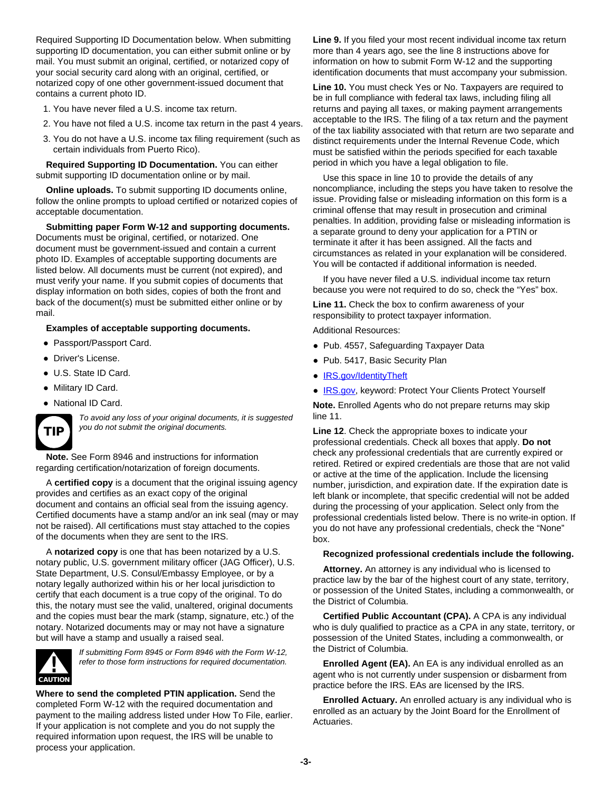Required Supporting ID Documentation below. When submitting supporting ID documentation, you can either submit online or by mail. You must submit an original, certified, or notarized copy of your social security card along with an original, certified, or notarized copy of one other government-issued document that contains a current photo ID.

- 1. You have never filed a U.S. income tax return.
- 2. You have not filed a U.S. income tax return in the past 4 years.
- 3. You do not have a U.S. income tax filing requirement (such as certain individuals from Puerto Rico).

**Required Supporting ID Documentation.** You can either submit supporting ID documentation online or by mail.

**Online uploads.** To submit supporting ID documents online, follow the online prompts to upload certified or notarized copies of acceptable documentation.

**Submitting paper Form W-12 and supporting documents.** Documents must be original, certified, or notarized. One document must be government-issued and contain a current photo ID. Examples of acceptable supporting documents are listed below. All documents must be current (not expired), and must verify your name. If you submit copies of documents that display information on both sides, copies of both the front and back of the document(s) must be submitted either online or by mail.

#### **Examples of acceptable supporting documents.**

- Passport/Passport Card.
- Driver's License.
- U.S. State ID Card.
- Military ID Card.
- National ID Card.



*To avoid any loss of your original documents, it is suggested you do not submit the original documents.*

**Note.** See Form 8946 and instructions for information regarding certification/notarization of foreign documents.

A **certified copy** is a document that the original issuing agency provides and certifies as an exact copy of the original document and contains an official seal from the issuing agency. Certified documents have a stamp and/or an ink seal (may or may not be raised). All certifications must stay attached to the copies of the documents when they are sent to the IRS.

A **notarized copy** is one that has been notarized by a U.S. notary public, U.S. government military officer (JAG Officer), U.S. State Department, U.S. Consul/Embassy Employee, or by a notary legally authorized within his or her local jurisdiction to certify that each document is a true copy of the original. To do this, the notary must see the valid, unaltered, original documents and the copies must bear the mark (stamp, signature, etc.) of the notary. Notarized documents may or may not have a signature but will have a stamp and usually a raised seal.



*If submitting Form 8945 or Form 8946 with the Form W-12, refer to those form instructions for required documentation.*

**Where to send the completed PTIN application.** Send the completed Form W-12 with the required documentation and payment to the mailing address listed under How To File, earlier. If your application is not complete and you do not supply the required information upon request, the IRS will be unable to process your application.

**Line 9.** If you filed your most recent individual income tax return more than 4 years ago, see the line 8 instructions above for information on how to submit Form W-12 and the supporting identification documents that must accompany your submission.

**Line 10.** You must check Yes or No. Taxpayers are required to be in full compliance with federal tax laws, including filing all returns and paying all taxes, or making payment arrangements acceptable to the IRS. The filing of a tax return and the payment of the tax liability associated with that return are two separate and distinct requirements under the Internal Revenue Code, which must be satisfied within the periods specified for each taxable period in which you have a legal obligation to file.

Use this space in line 10 to provide the details of any noncompliance, including the steps you have taken to resolve the issue. Providing false or misleading information on this form is a criminal offense that may result in prosecution and criminal penalties. In addition, providing false or misleading information is a separate ground to deny your application for a PTIN or terminate it after it has been assigned. All the facts and circumstances as related in your explanation will be considered. You will be contacted if additional information is needed.

If you have never filed a U.S. individual income tax return because you were not required to do so, check the "Yes" box.

**Line 11.** Check the box to confirm awareness of your responsibility to protect taxpayer information.

Additional Resources:

- Pub. 4557, Safeguarding Taxpayer Data
- Pub. 5417, Basic Security Plan
- [IRS.gov/IdentityTheft](https://www.irs.gov/identity-theft-central)
- [IRS.gov,](https://www.irs.gov/) keyword: Protect Your Clients Protect Yourself

**Note.** Enrolled Agents who do not prepare returns may skip line 11.

**Line 12**. Check the appropriate boxes to indicate your professional credentials. Check all boxes that apply. **Do not** check any professional credentials that are currently expired or retired. Retired or expired credentials are those that are not valid or active at the time of the application. Include the licensing number, jurisdiction, and expiration date. If the expiration date is left blank or incomplete, that specific credential will not be added during the processing of your application. Select only from the professional credentials listed below. There is no write-in option. If you do not have any professional credentials, check the "None" box.

#### **Recognized professional credentials include the following.**

**Attorney.** An attorney is any individual who is licensed to practice law by the bar of the highest court of any state, territory, or possession of the United States, including a commonwealth, or the District of Columbia.

**Certified Public Accountant (CPA).** A CPA is any individual who is duly qualified to practice as a CPA in any state, territory, or possession of the United States, including a commonwealth, or the District of Columbia.

**Enrolled Agent (EA).** An EA is any individual enrolled as an agent who is not currently under suspension or disbarment from practice before the IRS. EAs are licensed by the IRS.

**Enrolled Actuary.** An enrolled actuary is any individual who is enrolled as an actuary by the Joint Board for the Enrollment of Actuaries.